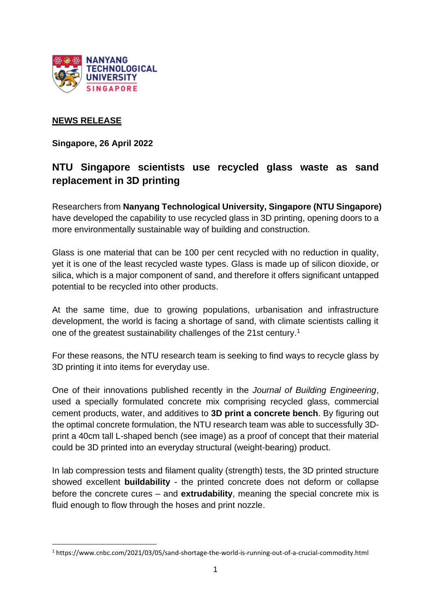

# **NEWS RELEASE**

**Singapore, 26 April 2022**

# **NTU Singapore scientists use recycled glass waste as sand replacement in 3D printing**

Researchers from **Nanyang Technological University, Singapore (NTU Singapore)** have developed the capability to use recycled glass in 3D printing, opening doors to a more environmentally sustainable way of building and construction.

Glass is one material that can be 100 per cent recycled with no reduction in quality, yet it is one of the least recycled waste types. Glass is made up of silicon dioxide, or silica, which is a major component of sand, and therefore it offers significant untapped potential to be recycled into other products.

At the same time, due to growing populations, urbanisation and infrastructure development, the world is facing a shortage of sand, with climate scientists calling it one of the greatest sustainability challenges of the 21st century.<sup>1</sup>

For these reasons, the NTU research team is seeking to find ways to recycle glass by 3D printing it into items for everyday use.

One of their innovations published recently in the *Journal of Building Engineering*, used a specially formulated concrete mix comprising recycled glass, commercial cement products, water, and additives to **3D print a concrete bench**. By figuring out the optimal concrete formulation, the NTU research team was able to successfully 3Dprint a 40cm tall L-shaped bench (see image) as a proof of concept that their material could be 3D printed into an everyday structural (weight-bearing) product.

In lab compression tests and filament quality (strength) tests, the 3D printed structure showed excellent **buildability** - the printed concrete does not deform or collapse before the concrete cures – and **extrudability**, meaning the special concrete mix is fluid enough to flow through the hoses and print nozzle.

<sup>1</sup> https://www.cnbc.com/2021/03/05/sand-shortage-the-world-is-running-out-of-a-crucial-commodity.html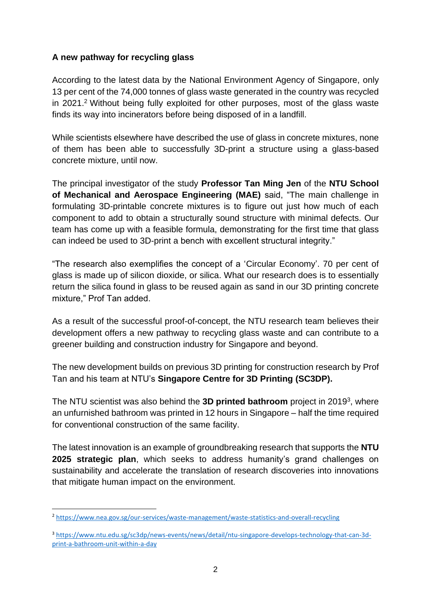# **A new pathway for recycling glass**

According to the latest data by the National Environment Agency of Singapore, only 13 per cent of the 74,000 tonnes of glass waste generated in the country was recycled in 2021.<sup>2</sup> Without being fully exploited for other purposes, most of the glass waste finds its way into incinerators before being disposed of in a landfill.

While scientists elsewhere have described the use of glass in concrete mixtures, none of them has been able to successfully 3D-print a structure using a glass-based concrete mixture, until now.

The principal investigator of the study **Professor Tan Ming Jen** of the **NTU School of Mechanical and Aerospace Engineering (MAE)** said, "The main challenge in formulating 3D-printable concrete mixtures is to figure out just how much of each component to add to obtain a structurally sound structure with minimal defects. Our team has come up with a feasible formula, demonstrating for the first time that glass can indeed be used to 3D-print a bench with excellent structural integrity."

"The research also exemplifies the concept of a 'Circular Economy'. 70 per cent of glass is made up of silicon dioxide, or silica. What our research does is to essentially return the silica found in glass to be reused again as sand in our 3D printing concrete mixture," Prof Tan added.

As a result of the successful proof-of-concept, the NTU research team believes their development offers a new pathway to recycling glass waste and can contribute to a greener building and construction industry for Singapore and beyond.

The new development builds on previous 3D printing for construction research by Prof Tan and his team at NTU's **Singapore Centre for 3D Printing (SC3DP).** 

The NTU scientist was also behind the **3D printed bathroom** project in 2019<sup>3</sup> , where an unfurnished bathroom was printed in 12 hours in Singapore – half the time required for conventional construction of the same facility.

The latest innovation is an example of groundbreaking research that supports the **NTU 2025 strategic plan**, which seeks to address humanity's grand challenges on sustainability and accelerate the translation of research discoveries into innovations that mitigate human impact on the environment.

<sup>2</sup> <https://www.nea.gov.sg/our-services/waste-management/waste-statistics-and-overall-recycling>

<sup>3</sup> [https://www.ntu.edu.sg/sc3dp/news-events/news/detail/ntu-singapore-develops-technology-that-can-3d](https://www.ntu.edu.sg/sc3dp/news-events/news/detail/ntu-singapore-develops-technology-that-can-3d-print-a-bathroom-unit-within-a-day)[print-a-bathroom-unit-within-a-day](https://www.ntu.edu.sg/sc3dp/news-events/news/detail/ntu-singapore-develops-technology-that-can-3d-print-a-bathroom-unit-within-a-day)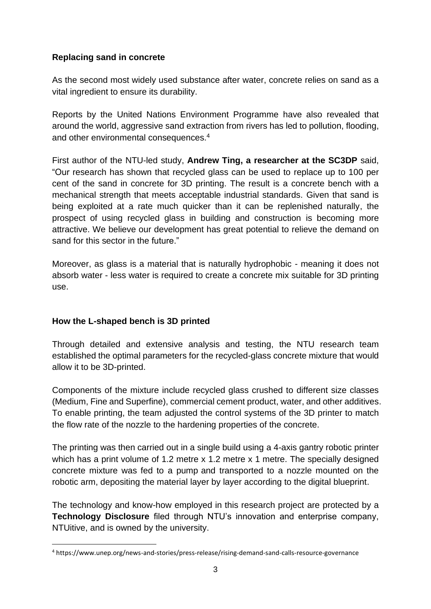## **Replacing sand in concrete**

As the second most widely used substance after water, concrete relies on sand as a vital ingredient to ensure its durability.

Reports by the United Nations Environment Programme have also revealed that around the world, aggressive sand extraction from rivers has led to pollution, flooding, and other environmental consequences.<sup>4</sup>

First author of the NTU-led study, **Andrew Ting, a researcher at the SC3DP** said, "Our research has shown that recycled glass can be used to replace up to 100 per cent of the sand in concrete for 3D printing. The result is a concrete bench with a mechanical strength that meets acceptable industrial standards. Given that sand is being exploited at a rate much quicker than it can be replenished naturally, the prospect of using recycled glass in building and construction is becoming more attractive. We believe our development has great potential to relieve the demand on sand for this sector in the future."

Moreover, as glass is a material that is naturally hydrophobic - meaning it does not absorb water - less water is required to create a concrete mix suitable for 3D printing use.

## **How the L-shaped bench is 3D printed**

Through detailed and extensive analysis and testing, the NTU research team established the optimal parameters for the recycled-glass concrete mixture that would allow it to be 3D-printed.

Components of the mixture include recycled glass crushed to different size classes (Medium, Fine and Superfine), commercial cement product, water, and other additives. To enable printing, the team adjusted the control systems of the 3D printer to match the flow rate of the nozzle to the hardening properties of the concrete.

The printing was then carried out in a single build using a 4-axis gantry robotic printer which has a print volume of 1.2 metre x 1.2 metre x 1 metre. The specially designed concrete mixture was fed to a pump and transported to a nozzle mounted on the robotic arm, depositing the material layer by layer according to the digital blueprint.

The technology and know-how employed in this research project are protected by a **Technology Disclosure** filed through NTU's innovation and enterprise company, NTUitive, and is owned by the university.

<sup>4</sup> https://www.unep.org/news-and-stories/press-release/rising-demand-sand-calls-resource-governance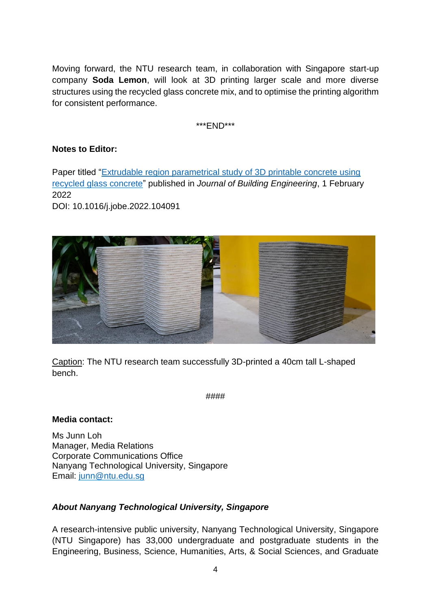Moving forward, the NTU research team, in collaboration with Singapore start-up company **Soda Lemon**, will look at 3D printing larger scale and more diverse structures using the recycled glass concrete mix, and to optimise the printing algorithm for consistent performance.

\*\*\*END\*\*\*

## **Notes to Editor:**

Paper titled ["Extrudable region parametrical study of 3D printable concrete using](https://www.sciencedirect.com/science/article/pii/S2352710222001048)  [recycled glass concrete"](https://www.sciencedirect.com/science/article/pii/S2352710222001048) published in *Journal of Building Engineering*, 1 February 2022

DOI: 10.1016/j.jobe.2022.104091



Caption: The NTU research team successfully 3D-printed a 40cm tall L-shaped bench.

####

## **Media contact:**

Ms Junn Loh Manager, Media Relations Corporate Communications Office Nanyang Technological University, Singapore Email: [junn@ntu.edu.sg](mailto:junn@ntu.edu.sg)

## *About Nanyang Technological University, Singapore*

A research-intensive public university, Nanyang Technological University, Singapore (NTU Singapore) has 33,000 undergraduate and postgraduate students in the Engineering, Business, Science, Humanities, Arts, & Social Sciences, and Graduate